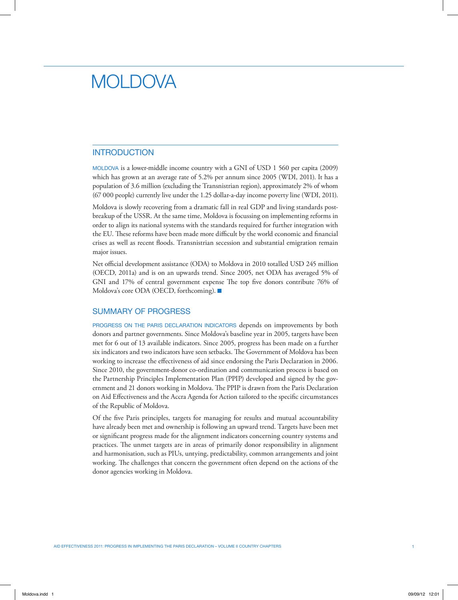# MOI DOVA

# INTRODUCTION

MOLDOVA is a lower-middle income country with a GNI of USD 1 560 per capita (2009) which has grown at an average rate of 5.2% per annum since 2005 (WDI, 2011). It has a population of 3.6 million (excluding the Transnistrian region), approximately 2% of whom (67 000 people) currently live under the 1.25 dollar-a-day income poverty line (WDI, 2011).

Moldova is slowly recovering from a dramatic fall in real GDP and living standards postbreakup of the USSR. At the same time, Moldova is focussing on implementing reforms in order to align its national systems with the standards required for further integration with the EU. These reforms have been made more difficult by the world economic and financial crises as well as recent floods. Transnistrian secession and substantial emigration remain major issues.

Net official development assistance (ODA) to Moldova in 2010 totalled USD 245 million (OECD, 2011a) and is on an upwards trend. Since 2005, net ODA has averaged 5% of GNI and 17% of central government expense The top five donors contribute 76% of Moldova's core ODA (OECD, forthcoming).  $\blacksquare$ 

## SUMMARY OF PROGRESS

Progress on the Paris Declaration indicators depends on improvements by both donors and partner governments. Since Moldova's baseline year in 2005, targets have been met for 6 out of 13 available indicators. Since 2005, progress has been made on a further six indicators and two indicators have seen setbacks. The Government of Moldova has been working to increase the effectiveness of aid since endorsing the Paris Declaration in 2006. Since 2010, the government-donor co-ordination and communication process is based on the Partnership Principles Implementation Plan (PPIP) developed and signed by the government and 21 donors working in Moldova. The PPIP is drawn from the Paris Declaration on Aid Effectiveness and the Accra Agenda for Action tailored to the specific circumstances of the Republic of Moldova.

Of the five Paris principles, targets for managing for results and mutual accountability have already been met and ownership is following an upward trend. Targets have been met or significant progress made for the alignment indicators concerning country systems and practices. The unmet targets are in areas of primarily donor responsibility in alignment and harmonisation, such as PIUs, untying, predictability, common arrangements and joint working. The challenges that concern the government often depend on the actions of the donor agencies working in Moldova.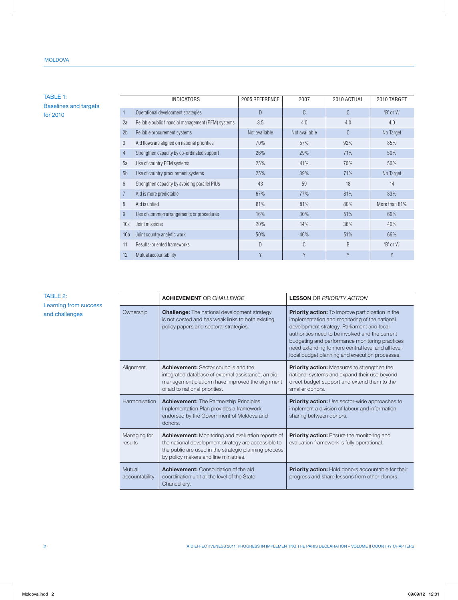## Moldova

# TABLE 1: Baselines and targets for 2010

| $\mathbf{1}$<br>$\mathcal{C}$<br>C<br>Operational development strategies<br>D<br>$'B'$ or $'A'$<br>3.5<br>4.0<br>4.0<br>2a<br>Reliable public financial management (PFM) systems<br>4.0<br>C<br>Not available<br>No Target<br>2 <sub>b</sub><br>Reliable procurement systems<br>Not available<br>3<br>92%<br>Aid flows are aligned on national priorities<br>70%<br>57%<br>85%<br>$\overline{4}$<br>Strengthen capacity by co-ordinated support<br>26%<br>29%<br>71%<br>50%<br>5a<br>25%<br>41%<br>70%<br>50%<br>Use of country PFM systems<br>39%<br>No Target<br>Use of country procurement systems<br>25%<br>71%<br>5 <sub>b</sub><br>6<br>Strengthen capacity by avoiding parallel PIUs<br>43<br>59<br>18<br>14<br>$\overline{7}$<br>81%<br>67%<br>77%<br>83%<br>Aid is more predictable<br>8<br>Aid is untied<br>81%<br>81%<br>80%<br>More than 81%<br>9<br>Use of common arrangements or procedures<br>16%<br>30%<br>51%<br>66%<br>20%<br>36%<br>Joint missions<br>14%<br>40%<br>10a<br>Joint country analytic work<br>50%<br>46%<br>51%<br>66%<br>10 <sub>b</sub><br>C<br>D<br>B<br>$'B'$ or $'A'$<br>11<br>Results-oriented frameworks<br>Mutual accountability<br>Y<br>Y<br>Y<br>12<br>Y | <b>INDICATORS</b> | 2005 REFERENCE | 2007 | 2010 ACTUAL | 2010 TARGET |
|---------------------------------------------------------------------------------------------------------------------------------------------------------------------------------------------------------------------------------------------------------------------------------------------------------------------------------------------------------------------------------------------------------------------------------------------------------------------------------------------------------------------------------------------------------------------------------------------------------------------------------------------------------------------------------------------------------------------------------------------------------------------------------------------------------------------------------------------------------------------------------------------------------------------------------------------------------------------------------------------------------------------------------------------------------------------------------------------------------------------------------------------------------------------------------------------------|-------------------|----------------|------|-------------|-------------|
|                                                                                                                                                                                                                                                                                                                                                                                                                                                                                                                                                                                                                                                                                                                                                                                                                                                                                                                                                                                                                                                                                                                                                                                                   |                   |                |      |             |             |
|                                                                                                                                                                                                                                                                                                                                                                                                                                                                                                                                                                                                                                                                                                                                                                                                                                                                                                                                                                                                                                                                                                                                                                                                   |                   |                |      |             |             |
|                                                                                                                                                                                                                                                                                                                                                                                                                                                                                                                                                                                                                                                                                                                                                                                                                                                                                                                                                                                                                                                                                                                                                                                                   |                   |                |      |             |             |
|                                                                                                                                                                                                                                                                                                                                                                                                                                                                                                                                                                                                                                                                                                                                                                                                                                                                                                                                                                                                                                                                                                                                                                                                   |                   |                |      |             |             |
|                                                                                                                                                                                                                                                                                                                                                                                                                                                                                                                                                                                                                                                                                                                                                                                                                                                                                                                                                                                                                                                                                                                                                                                                   |                   |                |      |             |             |
|                                                                                                                                                                                                                                                                                                                                                                                                                                                                                                                                                                                                                                                                                                                                                                                                                                                                                                                                                                                                                                                                                                                                                                                                   |                   |                |      |             |             |
|                                                                                                                                                                                                                                                                                                                                                                                                                                                                                                                                                                                                                                                                                                                                                                                                                                                                                                                                                                                                                                                                                                                                                                                                   |                   |                |      |             |             |
|                                                                                                                                                                                                                                                                                                                                                                                                                                                                                                                                                                                                                                                                                                                                                                                                                                                                                                                                                                                                                                                                                                                                                                                                   |                   |                |      |             |             |
|                                                                                                                                                                                                                                                                                                                                                                                                                                                                                                                                                                                                                                                                                                                                                                                                                                                                                                                                                                                                                                                                                                                                                                                                   |                   |                |      |             |             |
|                                                                                                                                                                                                                                                                                                                                                                                                                                                                                                                                                                                                                                                                                                                                                                                                                                                                                                                                                                                                                                                                                                                                                                                                   |                   |                |      |             |             |
|                                                                                                                                                                                                                                                                                                                                                                                                                                                                                                                                                                                                                                                                                                                                                                                                                                                                                                                                                                                                                                                                                                                                                                                                   |                   |                |      |             |             |
|                                                                                                                                                                                                                                                                                                                                                                                                                                                                                                                                                                                                                                                                                                                                                                                                                                                                                                                                                                                                                                                                                                                                                                                                   |                   |                |      |             |             |
|                                                                                                                                                                                                                                                                                                                                                                                                                                                                                                                                                                                                                                                                                                                                                                                                                                                                                                                                                                                                                                                                                                                                                                                                   |                   |                |      |             |             |
|                                                                                                                                                                                                                                                                                                                                                                                                                                                                                                                                                                                                                                                                                                                                                                                                                                                                                                                                                                                                                                                                                                                                                                                                   |                   |                |      |             |             |
|                                                                                                                                                                                                                                                                                                                                                                                                                                                                                                                                                                                                                                                                                                                                                                                                                                                                                                                                                                                                                                                                                                                                                                                                   |                   |                |      |             |             |

# TABLE 2: Learning from success and challenges

|                          | <b>ACHIEVEMENT OR CHALLENGE</b>                                                                                                                                                                                   | <b>LESSON OR PRIORITY ACTION</b>                                                                                                                                                                                                                                                                                                                                     |
|--------------------------|-------------------------------------------------------------------------------------------------------------------------------------------------------------------------------------------------------------------|----------------------------------------------------------------------------------------------------------------------------------------------------------------------------------------------------------------------------------------------------------------------------------------------------------------------------------------------------------------------|
| Ownership                | <b>Challenge:</b> The national development strategy<br>is not costed and has weak links to both existing<br>policy papers and sectoral strategies.                                                                | <b>Priority action:</b> To improve participation in the<br>implementation and monitoring of the national<br>development strategy, Parliament and local<br>authorities need to be involved and the current<br>budgeting and performance monitoring practices<br>need extending to more central level and all level-<br>local budget planning and execution processes. |
| Alignment                | <b>Achievement:</b> Sector councils and the<br>integrated database of external assistance, an aid<br>management platform have improved the alignment<br>of aid to national priorities.                            | <b>Priority action:</b> Measures to strengthen the<br>national systems and expand their use beyond<br>direct budget support and extend them to the<br>smaller donors.                                                                                                                                                                                                |
| Harmonisation            | <b>Achievement:</b> The Partnership Principles<br>Implementation Plan provides a framework<br>endorsed by the Government of Moldova and<br>donors.                                                                | <b>Priority action:</b> Use sector-wide approaches to<br>implement a division of labour and information<br>sharing between donors.                                                                                                                                                                                                                                   |
| Managing for<br>results  | <b>Achievement:</b> Monitoring and evaluation reports of<br>the national development strategy are accessible to<br>the public are used in the strategic planning process<br>by policy makers and line ministries. | <b>Priority action:</b> Ensure the monitoring and<br>evaluation framework is fully operational.                                                                                                                                                                                                                                                                      |
| Mutual<br>accountability | <b>Achievement:</b> Consolidation of the aid<br>coordination unit at the level of the State<br>Chancellery.                                                                                                       | <b>Priority action:</b> Hold donors accountable for their<br>progress and share lessons from other donors.                                                                                                                                                                                                                                                           |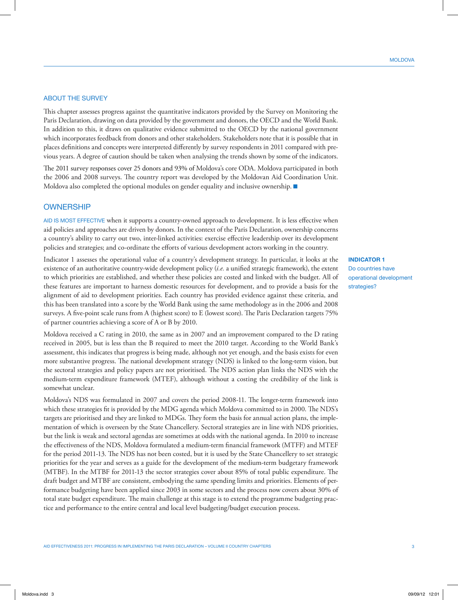## **ABOUT THE SURVEY**

This chapter assesses progress against the quantitative indicators provided by the Survey on Monitoring the Paris Declaration, drawing on data provided by the government and donors, the OECD and the World Bank. In addition to this, it draws on qualitative evidence submitted to the OECD by the national government which incorporates feedback from donors and other stakeholders. Stakeholders note that it is possible that in places definitions and concepts were interpreted differently by survey respondents in 2011 compared with previous years. A degree of caution should be taken when analysing the trends shown by some of the indicators.

The 2011 survey responses cover 25 donors and 93% of Moldova's core ODA. Moldova participated in both the 2006 and 2008 surveys. The country report was developed by the Moldovan Aid Coordination Unit. Moldova also completed the optional modules on gender equality and inclusive ownership.  $\blacksquare$ 

## **OWNERSHIP**

Aid is most effective when it supports a country-owned approach to development. It is less effective when aid policies and approaches are driven by donors. In the context of the Paris Declaration, ownership concerns a country's ability to carry out two, inter-linked activities: exercise effective leadership over its development policies and strategies; and co-ordinate the efforts of various development actors working in the country.

Indicator 1 assesses the operational value of a country's development strategy. In particular, it looks at the existence of an authoritative country-wide development policy (*i.e.* a unified strategic framework), the extent to which priorities are established, and whether these policies are costed and linked with the budget. All of these features are important to harness domestic resources for development, and to provide a basis for the alignment of aid to development priorities. Each country has provided evidence against these criteria, and this has been translated into a score by the World Bank using the same methodology as in the 2006 and 2008 surveys. A five-point scale runs from A (highest score) to E (lowest score). The Paris Declaration targets 75% of partner countries achieving a score of A or B by 2010.

Moldova received a C rating in 2010, the same as in 2007 and an improvement compared to the D rating received in 2005, but is less than the B required to meet the 2010 target. According to the World Bank's assessment, this indicates that progress is being made, although not yet enough, and the basis exists for even more substantive progress. The national development strategy (NDS) is linked to the long-term vision, but the sectoral strategies and policy papers are not prioritised. The NDS action plan links the NDS with the medium-term expenditure framework (MTEF), although without a costing the credibility of the link is somewhat unclear.

Moldova's NDS was formulated in 2007 and covers the period 2008-11. The longer-term framework into which these strategies fit is provided by the MDG agenda which Moldova committed to in 2000. The NDS's targets are prioritised and they are linked to MDGs. They form the basis for annual action plans, the implementation of which is overseen by the State Chancellery. Sectoral strategies are in line with NDS priorities, but the link is weak and sectoral agendas are sometimes at odds with the national agenda. In 2010 to increase the effectiveness of the NDS, Moldova formulated a medium-term financial framework (MTFF) and MTEF for the period 2011-13. The NDS has not been costed, but it is used by the State Chancellery to set strategic priorities for the year and serves as a guide for the development of the medium-term budgetary framework (MTBF). In the MTBF for 2011-13 the sector strategies cover about 85% of total public expenditure. The draft budget and MTBF are consistent, embodying the same spending limits and priorities. Elements of performance budgeting have been applied since 2003 in some sectors and the process now covers about 30% of total state budget expenditure. The main challenge at this stage is to extend the programme budgeting practice and performance to the entire central and local level budgeting/budget execution process.

**INDICATOR 1** Do countries have operational development strategies?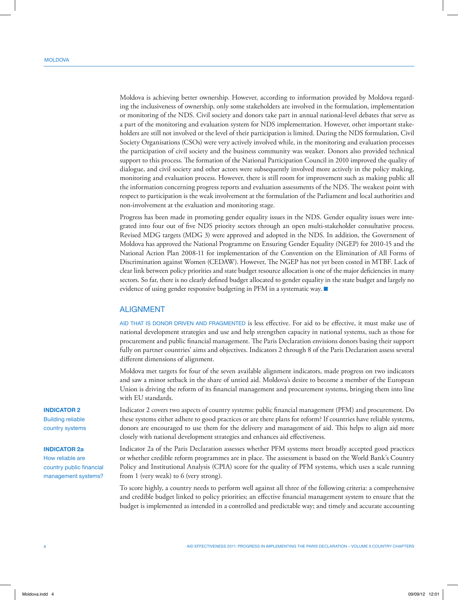Moldova is achieving better ownership. However, according to information provided by Moldova regarding the inclusiveness of ownership, only some stakeholders are involved in the formulation, implementation or monitoring of the NDS. Civil society and donors take part in annual national-level debates that serve as a part of the monitoring and evaluation system for NDS implementation. However, other important stakeholders are still not involved or the level of their participation is limited. During the NDS formulation, Civil Society Organisations (CSOs) were very actively involved while, in the monitoring and evaluation processes the participation of civil society and the business community was weaker. Donors also provided technical support to this process. The formation of the National Participation Council in 2010 improved the quality of dialogue, and civil society and other actors were subsequently involved more actively in the policy making, monitoring and evaluation process. However, there is still room for improvement such as making public all the information concerning progress reports and evaluation assessments of the NDS. The weakest point with respect to participation is the weak involvement at the formulation of the Parliament and local authorities and non-involvement at the evaluation and monitoring stage.

Progress has been made in promoting gender equality issues in the NDS. Gender equality issues were integrated into four out of five NDS priority sectors through an open multi-stakeholder consultative process. Revised MDG targets (MDG 3) were approved and adopted in the NDS. In addition, the Government of Moldova has approved the National Programme on Ensuring Gender Equality (NGEP) for 2010-15 and the National Action Plan 2008-11 for implementation of the Convention on the Elimination of All Forms of Discrimination against Women (CEDAW). However, The NGEP has not yet been costed in MTBF. Lack of clear link between policy priorities and state budget resource allocation is one of the major deficiencies in many sectors. So far, there is no clearly defined budget allocated to gender equality in the state budget and largely no evidence of using gender responsive budgeting in PFM in a systematic way.  $\blacksquare$ 

## ALIGNMENT

Aid that is donor driven and fragmented is less effective. For aid to be effective, it must make use of national development strategies and use and help strengthen capacity in national systems, such as those for procurement and public financial management. The Paris Declaration envisions donors basing their support fully on partner countries' aims and objectives. Indicators 2 through 8 of the Paris Declaration assess several different dimensions of alignment.

Moldova met targets for four of the seven available alignment indicators, made progress on two indicators and saw a minor setback in the share of untied aid. Moldova's desire to become a member of the European Union is driving the reform of its financial management and procurement systems, bringing them into line with EU standards.

Indicator 2 covers two aspects of country systems: public financial management (PFM) and procurement. Do these systems either adhere to good practices or are there plans for reform? If countries have reliable systems, donors are encouraged to use them for the delivery and management of aid. This helps to align aid more closely with national development strategies and enhances aid effectiveness.

Indicator 2a of the Paris Declaration assesses whether PFM systems meet broadly accepted good practices or whether credible reform programmes are in place. The assessment is based on the World Bank's Country Policy and Institutional Analysis (CPIA) score for the quality of PFM systems, which uses a scale running from 1 (very weak) to 6 (very strong).

To score highly, a country needs to perform well against all three of the following criteria: a comprehensive and credible budget linked to policy priorities; an effective financial management system to ensure that the budget is implemented as intended in a controlled and predictable way; and timely and accurate accounting

## **INDICATOR 2**

Building reliable country systems

#### **INDICATOR 2a**

How reliable are country public financial management systems?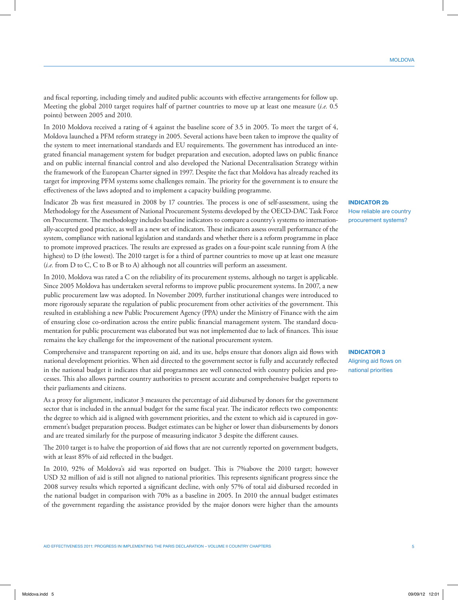and fiscal reporting, including timely and audited public accounts with effective arrangements for follow up. Meeting the global 2010 target requires half of partner countries to move up at least one measure (*i.e.* 0.5 points) between 2005 and 2010.

In 2010 Moldova received a rating of 4 against the baseline score of 3.5 in 2005. To meet the target of 4, Moldova launched a PFM reform strategy in 2005. Several actions have been taken to improve the quality of the system to meet international standards and EU requirements. The government has introduced an integrated financial management system for budget preparation and execution, adopted laws on public finance and on public internal financial control and also developed the National Decentralisation Strategy within the framework of the European Charter signed in 1997. Despite the fact that Moldova has already reached its target for improving PFM systems some challenges remain. The priority for the government is to ensure the effectiveness of the laws adopted and to implement a capacity building programme.

Indicator 2b was first measured in 2008 by 17 countries. The process is one of self-assessment, using the Methodology for the Assessment of National Procurement Systems developed by the OECD-DAC Task Force on Procurement. The methodology includes baseline indicators to compare a country's systems to internationally-accepted good practice, as well as a new set of indicators. These indicators assess overall performance of the system, compliance with national legislation and standards and whether there is a reform programme in place to promote improved practices. The results are expressed as grades on a four-point scale running from A (the highest) to D (the lowest). The 2010 target is for a third of partner countries to move up at least one measure (*i.e.* from D to C, C to B or B to A) although not all countries will perform an assessment.

In 2010, Moldova was rated a C on the reliability of its procurement systems, although no target is applicable. Since 2005 Moldova has undertaken several reforms to improve public procurement systems. In 2007, a new public procurement law was adopted. In November 2009, further institutional changes were introduced to more rigorously separate the regulation of public procurement from other activities of the government. This resulted in establishing a new Public Procurement Agency (PPA) under the Ministry of Finance with the aim of ensuring close co-ordination across the entire public financial management system. The standard documentation for public procurement was elaborated but was not implemented due to lack of finances. This issue remains the key challenge for the improvement of the national procurement system.

Comprehensive and transparent reporting on aid, and its use, helps ensure that donors align aid flows with national development priorities. When aid directed to the government sector is fully and accurately reflected in the national budget it indicates that aid programmes are well connected with country policies and processes. This also allows partner country authorities to present accurate and comprehensive budget reports to their parliaments and citizens.

As a proxy for alignment, indicator 3 measures the percentage of aid disbursed by donors for the government sector that is included in the annual budget for the same fiscal year. The indicator reflects two components: the degree to which aid is aligned with government priorities, and the extent to which aid is captured in government's budget preparation process. Budget estimates can be higher or lower than disbursements by donors and are treated similarly for the purpose of measuring indicator 3 despite the different causes.

The 2010 target is to halve the proportion of aid flows that are not currently reported on government budgets, with at least 85% of aid reflected in the budget.

In 2010, 92% of Moldova's aid was reported on budget. This is 7%above the 2010 target; however USD 32 million of aid is still not aligned to national priorities. This represents significant progress since the 2008 survey results which reported a significant decline, with only 57% of total aid disbursed recorded in the national budget in comparison with 70% as a baseline in 2005. In 2010 the annual budget estimates of the government regarding the assistance provided by the major donors were higher than the amounts **INDICATOR 2b** How reliable are country procurement systems?

**INDICATOR 3** Aligning aid flows on national priorities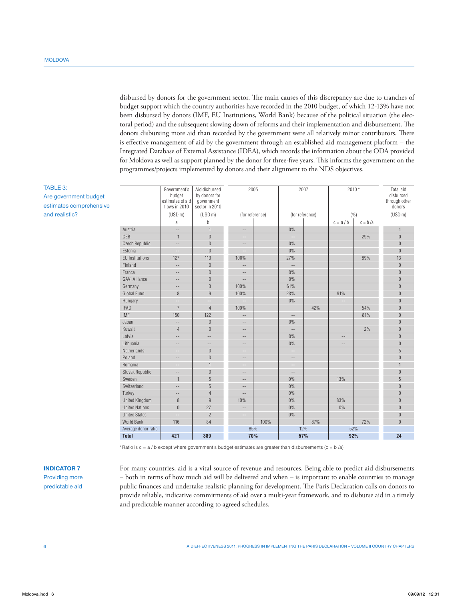TABLE 3:

and realistic?

Are government budget estimates comprehensive disbursed by donors for the government sector. The main causes of this discrepancy are due to tranches of budget support which the country authorities have recorded in the 2010 budget, of which 12-13% have not been disbursed by donors (IMF, EU Institutions, World Bank) because of the political situation (the electoral period) and the subsequent slowing down of reforms and their implementation and disbursement. The donors disbursing more aid than recorded by the government were all relatively minor contributors. There is effective management of aid by the government through an established aid management platform – the Integrated Database of External Assistance (IDEA), which records the information about the ODA provided for Moldova as well as support planned by the donor for three-five years. This informs the government on the programmes/projects implemented by donors and their alignment to the NDS objectives.

| <b>Total</b>           | 421                      | 389                            |                          | 70%             |                          | 57%             | 92%               |           | 24                     |
|------------------------|--------------------------|--------------------------------|--------------------------|-----------------|--------------------------|-----------------|-------------------|-----------|------------------------|
| Average donor ratio    |                          |                                | 85%                      |                 |                          | 12%             | 52%               |           |                        |
| World Bank             | 116                      | 84                             |                          | 100%            |                          | 87%             |                   | 72%       | $\Omega$               |
| <b>United States</b>   | $\overline{a}$           | $\overline{2}$                 | $\qquad \qquad -$        |                 | 0%                       |                 |                   |           | $\overline{0}$         |
| <b>United Nations</b>  | $\theta$                 | 27                             | $\overline{\phantom{m}}$ |                 | 0%                       |                 | $0\%$             |           | $\overline{0}$         |
| <b>United Kingdom</b>  | 8                        | $9\,$                          | 10%                      |                 | 0%                       |                 | 83%               |           | $\overline{0}$         |
| Turkey                 | $\sim$                   | $\overline{4}$                 | $-$                      |                 | 0%                       |                 |                   |           | $\overline{0}$         |
| Switzerland            | $\sim$                   | 5                              | $\qquad \qquad -$        |                 | 0%                       |                 |                   |           | $\overline{0}$         |
| Sweden                 | $\mathbf{1}$             | 5                              | $-$                      |                 | 0%                       |                 | 13%               |           | 5                      |
| Slovak Republic        | $-$                      | $\theta$                       | $-$                      |                 | $\overline{a}$           |                 |                   |           | $\overline{0}$         |
| Romania                | $-$                      | $\mathbf{1}$                   | $\qquad \qquad -$        |                 | $\sim$ $-$               |                 |                   |           | $\overline{1}$         |
| Poland                 |                          | $\bf 0$                        | $\qquad \qquad -$        |                 | $-$                      |                 |                   |           | $\overline{0}$         |
| Netherlands            | $-$                      | $\bf 0$                        | $-$                      |                 | $-$                      |                 |                   |           | 5                      |
| Lithuania              | $-$                      | $-$                            | $\qquad \qquad -$        |                 | 0%                       |                 | $-$               |           | $\overline{0}$         |
| Latvia                 | $-$                      | $\qquad \qquad -$              | $\qquad \qquad -$        |                 | 0%                       |                 | $\qquad \qquad -$ |           | $\Omega$               |
| Kuwait                 | $\overline{4}$           | $\theta$                       | $\qquad \qquad -$        |                 | $\sim$ $-$               |                 |                   | 2%        | $\Omega$               |
| Japan                  | $-$                      | $\theta$                       | $\qquad \qquad -$        |                 | 0%                       |                 |                   |           | $\overline{0}$         |
| <b>IMF</b>             | 150                      | 122                            | $\qquad \qquad -$        |                 | $\qquad \qquad -$        |                 |                   | 81%       | $\overline{0}$         |
| <b>IFAD</b>            | $\overline{7}$           | $\overline{4}$                 | 100%                     |                 |                          | 42%             |                   | 54%       | $\overline{0}$         |
| Hungary                | $\qquad \qquad -$        | $-$                            | $\sim$                   |                 | 0%                       |                 | $-$               |           | $\overline{0}$         |
| <b>Global Fund</b>     | 8                        | $\overline{9}$                 | 100%                     |                 | 23%                      |                 | 91%               |           | $\overline{0}$         |
| Germany                | $-$                      | 3                              | 100%                     |                 | 61%                      |                 |                   |           | $\overline{0}$         |
| <b>GAVI Alliance</b>   | $\qquad \qquad -$        | $\theta$                       | $\overline{\phantom{m}}$ |                 | 0%                       |                 |                   |           | $\overline{0}$         |
| France                 | $-$                      | $\overline{0}$                 | $\sim$                   |                 | 0%                       |                 |                   |           | $\Omega$               |
| Finland                | --                       | $\overline{0}$                 | $-$                      |                 | $\overline{\phantom{a}}$ |                 |                   |           | $\overline{0}$         |
| <b>EU Institutions</b> | 127                      | 113                            | 100%                     |                 | 27%                      |                 |                   | 89%       | 13                     |
| Estonia                | $\overline{\phantom{a}}$ | $\boldsymbol{0}$               | $-$                      |                 | $0\%$                    |                 |                   |           | $\overline{0}$         |
| Czech Republic         | $-$                      | $\overline{0}$                 | $\qquad \qquad -$        |                 | $0\%$                    |                 |                   |           | $\overline{0}$         |
| CEB                    | $\mathbf{1}$             | $\overline{0}$                 | $\qquad \qquad -$        |                 | $\sim$ $-$               |                 |                   | 29%       | $\overline{0}$         |
| Austria                | $\cdots$                 | $\mathbf{1}$                   | $-\,-$                   |                 | 0%                       |                 |                   |           | 1                      |
|                        | a                        | b                              |                          |                 |                          |                 | $c = a/b$         | $c = b/a$ |                        |
|                        | (USD <sub>m</sub> )      | (USD <sub>m</sub> )            |                          | (for reference) |                          | (for reference) | ( %)              |           | (USD <sub>m</sub> )    |
|                        | flows in 2010            | sector in 2010                 |                          |                 |                          |                 |                   |           | donors                 |
|                        | estimates of aid         | government                     |                          |                 |                          |                 |                   |           | through other          |
|                        | Government's<br>budget   | Aid disbursed<br>by donors for |                          | 2005            |                          | 2007            |                   | $2010*$   | Total aid<br>disbursed |

\*Ratio is  $c = a / b$  except where government's budget estimates are greater than disbursements ( $c = b / a$ ).

# **INDICATOR 7**

Providing more predictable aid

For many countries, aid is a vital source of revenue and resources. Being able to predict aid disbursements – both in terms of how much aid will be delivered and when – is important to enable countries to manage public finances and undertake realistic planning for development. The Paris Declaration calls on donors to provide reliable, indicative commitments of aid over a multi-year framework, and to disburse aid in a timely and predictable manner according to agreed schedules.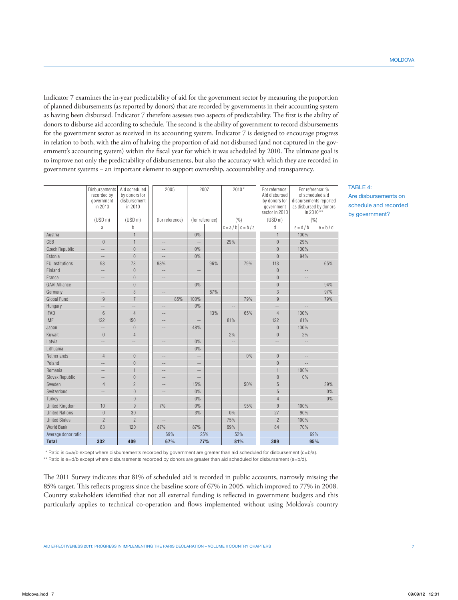Indicator 7 examines the in-year predictability of aid for the government sector by measuring the proportion of planned disbursements (as reported by donors) that are recorded by governments in their accounting system as having been disbursed. Indicator 7 therefore assesses two aspects of predictability. The first is the ability of donors to disburse aid according to schedule. The second is the ability of government to record disbursements for the government sector as received in its accounting system. Indicator 7 is designed to encourage progress in relation to both, with the aim of halving the proportion of aid not disbursed (and not captured in the government's accounting system) within the fiscal year for which it was scheduled by 2010. The ultimate goal is to improve not only the predictability of disbursements, but also the accuracy with which they are recorded in government systems – an important element to support ownership, accountability and transparency.

|                        | Disbursements<br>recorded by<br>government<br>in 2010 | Aid scheduled<br>by donors for<br>disbursement<br>in 2010 | 2005              |     | 2007                     |     | $2010*$                  |     | For reference:<br>Aid disbursed<br>by donors for<br>government<br>sector in 2010 | For reference: %<br>of scheduled aid<br>disbursements reported<br>as disbursed by donors<br>in 2010** |             |
|------------------------|-------------------------------------------------------|-----------------------------------------------------------|-------------------|-----|--------------------------|-----|--------------------------|-----|----------------------------------------------------------------------------------|-------------------------------------------------------------------------------------------------------|-------------|
|                        | (USD <sub>m</sub> )                                   | (USD <sub>m</sub> )                                       | (for reference)   |     | (for reference)          |     | (%)                      |     | (USD <sub>m</sub> )                                                              | (%)                                                                                                   |             |
|                        | a                                                     | b                                                         |                   |     |                          |     | $c = a/b$ $c = b/a$      |     | d                                                                                | $e = d/b$                                                                                             | $e = b / d$ |
| Austria                | $\overline{a}$                                        | $\mathbf{1}$                                              | $\qquad \qquad -$ |     | 0%                       |     |                          |     | $\mathbf{1}$                                                                     | 100%                                                                                                  |             |
| CFB                    | $\overline{0}$                                        | $\mathbf{1}$                                              | $-$               |     | $\overline{a}$           |     | 29%                      |     | $\Omega$                                                                         | 29%                                                                                                   |             |
| Czech Republic         | 44                                                    | $\overline{0}$                                            | $\overline{a}$    |     | 0%                       |     |                          |     | $\overline{0}$                                                                   | 100%                                                                                                  |             |
| Estonia                | $\overline{a}$                                        | $\overline{0}$                                            | $\overline{a}$    |     | 0%                       |     |                          |     | $\overline{0}$                                                                   | 94%                                                                                                   |             |
| <b>EU Institutions</b> | 93                                                    | 73                                                        | 98%               |     |                          | 96% |                          | 79% | 113                                                                              |                                                                                                       | 65%         |
| Finland                | --                                                    | $\overline{0}$                                            | $\overline{a}$    |     | $\qquad \qquad -$        |     |                          |     | $\overline{0}$                                                                   | $\qquad \qquad -$                                                                                     |             |
| France                 | --                                                    | $\overline{0}$                                            | $\overline{a}$    |     |                          |     |                          |     | $\Omega$                                                                         | --                                                                                                    |             |
| <b>GAVI Alliance</b>   | $-$                                                   | $\overline{0}$                                            | --                |     | 0%                       |     |                          |     | $\overline{0}$                                                                   |                                                                                                       | 94%         |
| Germany                | --                                                    | 3                                                         | $-$               |     |                          | 87% |                          |     | 3                                                                                |                                                                                                       | 97%         |
| <b>Global Fund</b>     | 9                                                     | $\overline{7}$                                            |                   | 85% | 100%                     |     |                          | 79% | $\overline{9}$                                                                   |                                                                                                       | 79%         |
| Hungary                | $\overline{a}$                                        | $\overline{a}$                                            | $-$               |     | 0%                       |     | $\overline{a}$           |     | $\overline{a}$                                                                   | $\overline{a}$                                                                                        |             |
| <b>IFAD</b>            | 6                                                     | $\overline{4}$                                            | $\overline{a}$    |     |                          | 13% |                          | 65% | $\overline{4}$                                                                   | 100%                                                                                                  |             |
| <b>IMF</b>             | 122                                                   | 150                                                       | $-$               |     | $\overline{\phantom{a}}$ |     | 81%                      |     | 122                                                                              | 81%                                                                                                   |             |
| Japan                  | $\overline{\phantom{a}}$                              | $\overline{0}$                                            | $\overline{a}$    |     | 48%                      |     |                          |     | $\overline{0}$                                                                   | 100%                                                                                                  |             |
| Kuwait                 | $\overline{0}$                                        | $\overline{4}$                                            | --                |     | $\overline{\phantom{a}}$ |     | 2%                       |     | $\overline{0}$                                                                   | 2%                                                                                                    |             |
| Latvia                 | 44                                                    | <u></u>                                                   | $-$               |     | 0%                       |     | $\overline{\phantom{a}}$ |     | $\overline{a}$                                                                   | $\overline{\phantom{a}}$                                                                              |             |
| Lithuania              | --                                                    | $-$                                                       | $-$               |     | $0\%$                    |     | $-$                      |     | $\overline{a}$                                                                   | $\qquad \qquad -$                                                                                     |             |
| Netherlands            | $\overline{4}$                                        | $\overline{0}$                                            | $-$               |     | $\qquad \qquad -$        |     |                          | 0%  | $\Omega$                                                                         | $ -$                                                                                                  |             |
| Poland                 | --                                                    | $\overline{0}$                                            | $-$               |     | $\sim$ $-$               |     |                          |     | $\overline{0}$                                                                   | $\sim$ $\sim$                                                                                         |             |
| Romania                | $\overline{a}$                                        | $\mathbf{1}$                                              | $-$               |     | $-\,-$                   |     |                          |     | $\overline{1}$                                                                   | 100%                                                                                                  |             |
| Slovak Republic        | $-$                                                   | $\overline{0}$                                            | $-$               |     | $\mathbb{L}$ .           |     |                          |     | $\overline{0}$                                                                   | 0%                                                                                                    |             |
| Sweden                 | $\overline{4}$                                        | $\overline{2}$                                            | --                |     | 15%                      |     |                          | 50% | 5                                                                                |                                                                                                       | 39%         |
| Switzerland            | $-$                                                   | $\overline{0}$                                            | --                |     | 0%                       |     |                          |     | 5                                                                                |                                                                                                       | 0%          |
| Turkey                 | Ξ.                                                    | $\overline{0}$                                            | $\overline{a}$    |     | 0%                       |     |                          |     | $\overline{4}$                                                                   |                                                                                                       | 0%          |
| <b>United Kingdom</b>  | 10                                                    | $\overline{9}$                                            | 7%                |     | $0\%$                    |     |                          | 95% | $\overline{9}$                                                                   | 100%                                                                                                  |             |
| <b>United Nations</b>  | $\mathbf 0$                                           | 30                                                        | $\overline{a}$    |     | 3%                       |     | $0\%$                    |     | 27                                                                               | 90%                                                                                                   |             |
| <b>United States</b>   | $\overline{2}$                                        | $\overline{2}$                                            | --                |     |                          |     | 75%                      |     | $\overline{2}$                                                                   | 100%                                                                                                  |             |
| <b>World Bank</b>      | 83                                                    | 120                                                       | 87%               |     | 87%                      |     | 69%                      |     | 84                                                                               | 70%                                                                                                   |             |
| Average donor ratio    |                                                       |                                                           | 69%               |     | 25%                      |     | 52%                      |     |                                                                                  | 69%                                                                                                   |             |
| <b>Total</b>           | 332                                                   | 409                                                       | 67%               |     | 77%                      |     | 81%                      |     | 389                                                                              | 95%                                                                                                   |             |

TABLE 4<sup>-</sup> Are disbursements on schedule and recorded by government?

\* Ratio is c=a/b except where disbursements recorded by government are greater than aid scheduled for disbursement (c=b/a). \*\* Ratio is e=d/b except where disbursements recorded by donors are greater than aid scheduled for disbursement (e=b/d).

The 2011 Survey indicates that 81% of scheduled aid is recorded in public accounts, narrowly missing the 85% target. This reflects progress since the baseline score of 67% in 2005, which improved to 77% in 2008. Country stakeholders identified that not all external funding is reflected in government budgets and this particularly applies to technical co-operation and flows implemented without using Moldova's country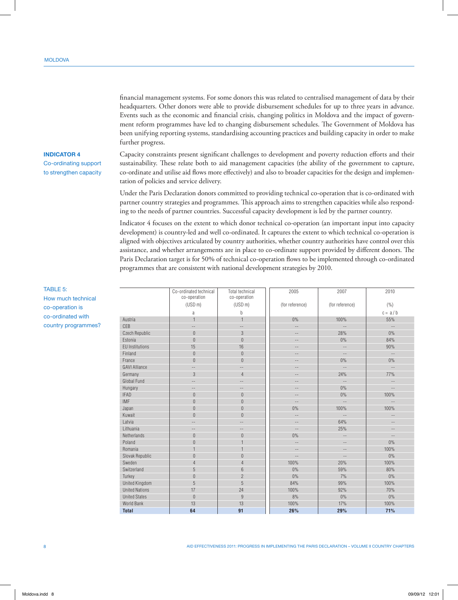headquarters. Other donors were able to provide disbursement schedules for up to three years in advance. Events such as the economic and financial crisis, changing politics in Moldova and the impact of government reform programmes have led to changing disbursement schedules. The Government of Moldova has been unifying reporting systems, standardising accounting practices and building capacity in order to make further progress.

financial management systems. For some donors this was related to centralised management of data by their

## **INDICATOR 4**

Co‑ordinating support to strengthen capacity Capacity constraints present significant challenges to development and poverty reduction efforts and their sustainability. These relate both to aid management capacities (the ability of the government to capture, co-ordinate and utilise aid flows more effectively) and also to broader capacities for the design and implementation of policies and service delivery.

Under the Paris Declaration donors committed to providing technical co-operation that is co-ordinated with partner country strategies and programmes. This approach aims to strengthen capacities while also responding to the needs of partner countries. Successful capacity development is led by the partner country.

Indicator 4 focuses on the extent to which donor technical co-operation (an important input into capacity development) is country-led and well co-ordinated. It captures the extent to which technical co-operation is aligned with objectives articulated by country authorities, whether country authorities have control over this assistance, and whether arrangements are in place to co-ordinate support provided by different donors. The Paris Declaration target is for 50% of technical co-operation flows to be implemented through co-ordinated programmes that are consistent with national development strategies by 2010.

|                        | Co-ordinated technical<br>co-operation | <b>Total technical</b><br>co-operation | 2005                     | 2007                     | 2010                     |
|------------------------|----------------------------------------|----------------------------------------|--------------------------|--------------------------|--------------------------|
|                        | (USD <sub>m</sub> )                    | (USD <sub>m</sub> )                    | (for reference)          | (for reference)          | ( %)                     |
|                        | a                                      | b                                      |                          |                          | $c = a/b$                |
| Austria                | $\overline{1}$                         | $\mathbf{1}$                           | 0%                       | 100%                     | 55%                      |
| CFB                    | $-$                                    | $-$                                    | $-$                      | $-$                      | $-$                      |
| Czech Republic         | $\Omega$                               | 3                                      | $-$                      | 28%                      | $0\%$                    |
| Estonia                | $\overline{0}$                         | $\overline{0}$                         | $-$                      | $0\%$                    | 84%                      |
| <b>EU</b> Institutions | 15                                     | 16                                     | $\overline{\phantom{a}}$ | $\qquad \qquad -$        | 90%                      |
| Finland                | $\overline{0}$                         | $\overline{0}$                         | $-$                      | $\equiv$ $\equiv$        | $\qquad \qquad -$        |
| France                 | $\overline{0}$                         | $\overline{0}$                         | $-$                      | $0\%$                    | $0\%$                    |
| <b>GAVI Alliance</b>   | $-$                                    | $\cdots$                               | $-$                      | $\equiv$ $\equiv$        | $\mathcal{L} =$          |
| Germany                | 3                                      | 4                                      | $\qquad \qquad -$        | 24%                      | 77%                      |
| Global Fund            | --                                     | $-$                                    | $-$                      | $\qquad \qquad -$        | $-$                      |
| Hungary                | $\cdots$                               | $\sim$ $\sim$                          | $\qquad \qquad -$        | $0\%$                    | $\mathcal{L} =$          |
| <b>IFAD</b>            | $\overline{0}$                         | $\overline{0}$                         | $\qquad \qquad -$        | $0\%$                    | 100%                     |
| <b>IMF</b>             | $\overline{0}$                         | $\overline{0}$                         | $\cdots$                 | $-\,-$                   | $\qquad \qquad -$        |
| Japan                  | $\overline{0}$                         | $\overline{0}$                         | 0%                       | 100%                     | 100%                     |
| Kuwait                 | $\overline{0}$                         | $\overline{0}$                         | $-$                      | $\overline{\phantom{a}}$ | $\frac{1}{2}$            |
| Latvia                 | $-\,-$                                 | $- \, -$                               | $\cdots$                 | 64%                      | $\overline{\phantom{m}}$ |
| Lithuania              | $-$                                    | $-$                                    | $-$                      | 25%                      | $-$                      |
| Netherlands            | $\overline{0}$                         | $\overline{0}$                         | 0%                       | $\qquad \qquad -$        | $\qquad \qquad -$        |
| Poland                 | $\overline{0}$                         | 1                                      | $\qquad \qquad -$        | $\qquad \qquad -$        | $0\%$                    |
| Romania                |                                        | 1                                      | $\cdots$                 | $\overline{\phantom{m}}$ | 100%                     |
| Slovak Republic        | $\overline{0}$                         | $\overline{0}$                         | $-$                      | $\overline{\phantom{m}}$ | $0\%$                    |
| Sweden                 | $\overline{4}$                         | $\overline{4}$                         | 100%                     | 20%                      | 100%                     |
| Switzerland            | 5                                      | 6                                      | 0%                       | 59%                      | 80%                      |
| Turkey                 | $\overline{0}$                         | $\overline{2}$                         | 0%                       | 7%                       | 0%                       |
| <b>United Kingdom</b>  | 5                                      | 5                                      | 84%                      | 99%                      | 100%                     |
| <b>United Nations</b>  | 17                                     | 24                                     | 100%                     | 92%                      | 70%                      |
| <b>United States</b>   | $\overline{0}$                         | 9                                      | 8%                       | 0%                       | $0\%$                    |
| World Bank             | 13                                     | 13                                     | 100%                     | 17%                      | 100%                     |
| <b>Total</b>           | 64                                     | 91                                     | 26%                      | 29%                      | 71%                      |

TABLE 5: How much technical co‑operation is co‑ordinated with country programmes?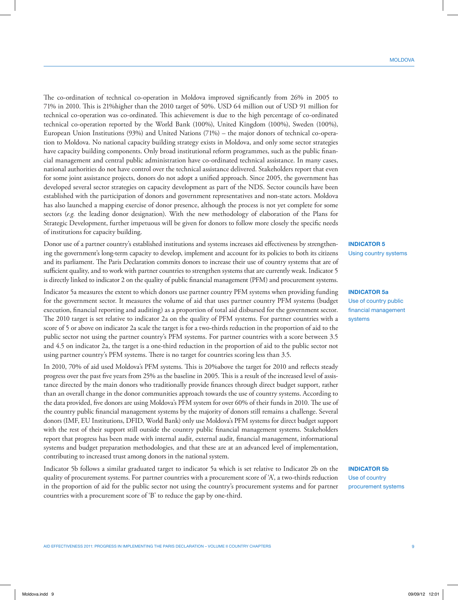Aid Effectiveness 2011: Progress in Implementing the Paris Declaration – Volume II Country Chapters 9

The co-ordination of technical co-operation in Moldova improved significantly from 26% in 2005 to 71% in 2010. This is 21%higher than the 2010 target of 50%. USD 64 million out of USD 91 million for technical co-operation was co-ordinated. This achievement is due to the high percentage of co-ordinated technical co-operation reported by the World Bank (100%), United Kingdom (100%), Sweden (100%), European Union Institutions (93%) and United Nations (71%) – the major donors of technical co-operation to Moldova. No national capacity building strategy exists in Moldova, and only some sector strategies have capacity building components. Only broad institutional reform programmes, such as the public financial management and central public administration have co-ordinated technical assistance. In many cases, national authorities do not have control over the technical assistance delivered. Stakeholders report that even for some joint assistance projects, donors do not adopt a unified approach. Since 2005, the government has developed several sector strategies on capacity development as part of the NDS. Sector councils have been established with the participation of donors and government representatives and non-state actors. Moldova has also launched a mapping exercise of donor presence, although the process is not yet complete for some sectors (*e.g.* the leading donor designation). With the new methodology of elaboration of the Plans for Strategic Development, further impetuous will be given for donors to follow more closely the specific needs of institutions for capacity building.

Donor use of a partner country's established institutions and systems increases aid effectiveness by strengthening the government's long-term capacity to develop, implement and account for its policies to both its citizens and its parliament. The Paris Declaration commits donors to increase their use of country systems that are of sufficient quality, and to work with partner countries to strengthen systems that are currently weak. Indicator 5 is directly linked to indicator 2 on the quality of public financial management (PFM) and procurement systems.

Indicator 5a measures the extent to which donors use partner country PFM systems when providing funding for the government sector. It measures the volume of aid that uses partner country PFM systems (budget execution, financial reporting and auditing) as a proportion of total aid disbursed for the government sector. The 2010 target is set relative to indicator 2a on the quality of PFM systems. For partner countries with a score of 5 or above on indicator 2a scale the target is for a two-thirds reduction in the proportion of aid to the public sector not using the partner country's PFM systems. For partner countries with a score between 3.5 and 4.5 on indicator 2a, the target is a one-third reduction in the proportion of aid to the public sector not using partner country's PFM systems. There is no target for countries scoring less than 3.5.

In 2010, 70% of aid used Moldova's PFM systems. This is 20%above the target for 2010 and reflects steady progress over the past five years from 25% as the baseline in 2005. This is a result of the increased level of assistance directed by the main donors who traditionally provide finances through direct budget support, rather than an overall change in the donor communities approach towards the use of country systems. According to the data provided, five donors are using Moldova's PFM system for over 60% of their funds in 2010. The use of the country public financial management systems by the majority of donors still remains a challenge. Several donors (IMF, EU Institutions, DFID, World Bank) only use Moldova's PFM systems for direct budget support with the rest of their support still outside the country public financial management systems. Stakeholders report that progress has been made with internal audit, external audit, financial management, informational systems and budget preparation methodologies, and that these are at an advanced level of implementation, contributing to increased trust among donors in the national system.

Indicator 5b follows a similar graduated target to indicator 5a which is set relative to Indicator 2b on the quality of procurement systems. For partner countries with a procurement score of 'A', a two-thirds reduction in the proportion of aid for the public sector not using the country's procurement systems and for partner countries with a procurement score of 'B' to reduce the gap by one-third.

**INDICATOR 5** Using country systems

## **INDICATOR 5a** Use of country public financial management systems

**INDICATOR 5b** Use of country procurement systems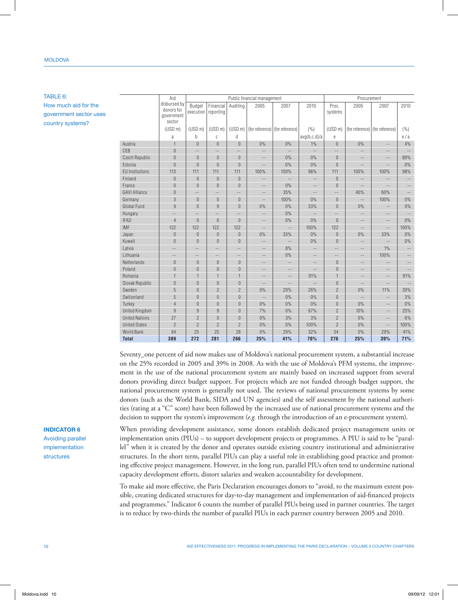## **MOLDOVA**

TABLE 6: How much aid for the government sector uses country systems?

|                        | Aid                                                                                                                |                     |                          |                     | Public financial management     |                          |                 |                          | Procurement       |                                   |                          |
|------------------------|--------------------------------------------------------------------------------------------------------------------|---------------------|--------------------------|---------------------|---------------------------------|--------------------------|-----------------|--------------------------|-------------------|-----------------------------------|--------------------------|
|                        | disbursed by<br>Budget<br>Financial<br>Auditing<br>2005<br>2007<br>donors for<br>execution reporting<br>government |                     |                          |                     | 2010                            | Proc.<br>systems         | 2005            | 2007                     | 2010              |                                   |                          |
|                        | sector                                                                                                             |                     |                          |                     |                                 |                          |                 |                          |                   |                                   |                          |
|                        | (USD <sub>m</sub> )                                                                                                | (USD <sub>m</sub> ) | (USD <sub>m</sub> )      | (USD <sub>m</sub> ) | (for reference) (for reference) |                          | (%)             | (USD <sub>m</sub> )      |                   | (for reference)   (for reference) | (%)                      |
|                        | a                                                                                                                  | h                   | C                        | d                   |                                 |                          | avg(b,c,d)/a    | e                        |                   |                                   | e/a                      |
| Austria                | 1                                                                                                                  | $\overline{0}$      | $\theta$                 | $\theta$            | 0%                              | 0%                       | 1%              | $\theta$                 | $0\%$             | $\overline{\phantom{a}}$          | 4%                       |
| CFB                    | $\overline{0}$                                                                                                     | $-$                 | $-$                      | $-$                 | $-$                             | $-$                      | $\frac{1}{2}$   | $\mathcal{L} =$          | $-$               | $-$                               | $\overline{\phantom{a}}$ |
| <b>Czech Republic</b>  | $\overline{0}$                                                                                                     | $\overline{0}$      | $\theta$                 | $\theta$            | $-$                             | 0%                       | 0%              | $\Omega$                 | $-$               | $\qquad \qquad -$                 | 89%                      |
| Estonia                | $\overline{0}$                                                                                                     | $\overline{0}$      | $\theta$                 | $\Omega$            | $-$                             | 0%                       | $0\%$           | $\overline{0}$           | $-$               | $\qquad \qquad -$                 | 0%                       |
| <b>EU Institutions</b> | 113                                                                                                                | 111                 | 111                      | 111                 | 100%                            | 100%                     | 98%             | 111                      | 100%              | 100%                              | 98%                      |
| Finland                | $\boldsymbol{0}$                                                                                                   | $\mathbf{0}$        | $\overline{0}$           | $\theta$            | $\overline{\phantom{a}}$        | $\overline{a}$           | $\mathcal{L} =$ | $\theta$                 | $-$               | $\qquad \qquad -$                 | $\overline{\phantom{a}}$ |
| France                 | $\mathbf 0$                                                                                                        | $\boldsymbol{0}$    | $\theta$                 | $\overline{0}$      | $-$                             | 0%                       | --              | $\overline{0}$           | $-$               | --                                | $\overline{\phantom{a}}$ |
| <b>GAVI Alliance</b>   | $\mathbf 0$                                                                                                        | $-\,-$              | $-\,-$                   | --                  | $-\,-$                          | 35%                      | $-$             | 44                       | 40%               | 60%                               | $-\,-$                   |
| Germany                | 3                                                                                                                  | $\overline{0}$      | $\Omega$                 | $\theta$            | $-$                             | 100%                     | 0%              | $\overline{0}$           | $-$               | 100%                              | 0%                       |
| Global Fund            | $\overline{9}$                                                                                                     | $\overline{0}$      | 9                        | $\overline{0}$      | 0%                              | 0%                       | 33%             | $\overline{0}$           | 0%                | $\overline{\phantom{a}}$          | 0%                       |
| Hungary                | $\qquad \qquad -$                                                                                                  | $-$                 | $-$                      | $-$                 | $-$                             | 0%                       | $-$             | $\equiv$ $\equiv$        | $-$               | $-$                               | $-\,-$                   |
| <b>IFAD</b>            | $\overline{4}$                                                                                                     | $\overline{0}$      | $\theta$                 | $\Omega$            | $\qquad \qquad -$               | 0%                       | 0%              | $\Omega$                 | $ -$              | $\qquad \qquad -$                 | 0%                       |
| <b>IMF</b>             | 122                                                                                                                | 122                 | 122                      | 122                 | $-$                             | $\overline{a}$           | 100%            | 122                      | $-$               | --                                | 100%                     |
| Japan                  | $\boldsymbol{0}$                                                                                                   | $\mathbf{0}$        | $\overline{0}$           | $\bf 0$             | 0%                              | 33%                      | 0%              | $\overline{0}$           | 0%                | 33%                               | 0%                       |
| Kuwait                 | $\overline{0}$                                                                                                     | $\overline{0}$      | $\overline{0}$           | $\theta$            | $\qquad \qquad -$               | $\qquad \qquad -$        | 0%              | $\overline{0}$           | $-$               | $-$                               | $0\%$                    |
| Latvia                 | --                                                                                                                 | $-\,-$              | $\overline{\phantom{m}}$ | $-$                 | $-\,-$                          | 8%                       | $-$             | $\overline{\phantom{a}}$ | $\qquad \qquad -$ | 1%                                | $-\,-$                   |
| Lithuania              | $\qquad \qquad -$                                                                                                  | $-\,-$              | $\overline{\phantom{a}}$ | $- -$               | $-\,-$                          | 0%                       | $- -$           | $\overline{\phantom{m}}$ | $-\,-$            | 100%                              | $-\,-$                   |
| Netherlands            | $\theta$                                                                                                           | $\boldsymbol{0}$    | $\theta$                 | $\theta$            | $\sim$ $\sim$                   | $\frac{1}{2}$            | 44              | $\overline{0}$           | $-$               | $-$                               | $-$                      |
| Poland                 | $\mathbf 0$                                                                                                        | $\boldsymbol{0}$    | $\theta$                 | $\theta$            | $\qquad \qquad -$               | $-$                      | --              | $\overline{0}$           | $\overline{a}$    | $\qquad \qquad -$                 | $-\,-$                   |
| Romania                | $\mathbf{1}$                                                                                                       | $\mathbf{1}$        | $\mathbf{1}$             | $\overline{1}$      | $\qquad \qquad -$               | $-$                      | 91%             | $\mathbf{1}$             | $\overline{a}$    | $-\,-$                            | 91%                      |
| Slovak Republic        | $\overline{0}$                                                                                                     | $\overline{0}$      | $\Omega$                 | $\theta$            | $-$                             | $\overline{\phantom{a}}$ | $\overline{a}$  | $\Omega$                 | $\overline{a}$    | $\overline{a}$                    | $\overline{\phantom{a}}$ |
| Sweden                 | 5                                                                                                                  | $\overline{0}$      | $\overline{2}$           | $\overline{2}$      | 0%                              | 29%                      | 26%             | $\overline{2}$           | 0%                | 11%                               | 39%                      |
| Switzerland            | 5                                                                                                                  | $\overline{0}$      | $\Omega$                 | $\theta$            | $\qquad \qquad -$               | 0%                       | 0%              | $\overline{0}$           | $-\,-$            | $- -$                             | 3%                       |
| Turkey                 | $\overline{4}$                                                                                                     | $\boldsymbol{0}$    | $\theta$                 | $\theta$            | 0%                              | 0%                       | 0%              | $\theta$                 | 0%                | $\overline{\phantom{m}}$          | $0\%$                    |
| <b>United Kingdom</b>  | $\overline{9}$                                                                                                     | 9                   | 9                        | $\theta$            | 7%                              | 0%                       | 67%             | $\overline{2}$           | 10%               | $-$                               | 25%                      |
| <b>United Nations</b>  | 27                                                                                                                 | $\overline{2}$      | $\theta$                 | $\theta$            | 0%                              | 3%                       | 3%              | $\overline{2}$           | 0%                | $\qquad \qquad -$                 | 6%                       |
| <b>United States</b>   | $\overline{2}$                                                                                                     | $\overline{2}$      | $\overline{2}$           | $\overline{2}$      | 0%                              | 0%                       | 100%            | $\overline{2}$           | 0%                | $\qquad \qquad -$                 | 100%                     |
| <b>World Bank</b>      | 84                                                                                                                 | 25                  | 25                       | 28                  | 0%                              | 29%                      | 32%             | 34                       | 0%                | 29%                               | 41%                      |
| <b>Total</b>           | 389                                                                                                                | 272                 | 281                      | 266                 | 25%                             | 41%                      | 70%             | 276                      | 25%               | 39%                               | 71%                      |

Seventy\_one percent of aid now makes use of Moldova's national procurement system, a substantial increase on the 25% recorded in 2005 and 39% in 2008. As with the use of Moldova's PFM systems, the improvement in the use of the national procurement system are mainly based on increased support from several donors providing direct budget support. For projects which are not funded through budget support, the national procurement system is generally not used. The reviews of national procurement systems by some donors (such as the World Bank, SIDA and UN agencies) and the self assessment by the national authorities (rating at a "C" score) have been followed by the increased use of national procurement systems and the decision to support the system's improvement (*e.g.* through the introduction of an e-procurement system).

#### **INDICATOR 6**

Avoiding parallel implementation structures

When providing development assistance, some donors establish dedicated project management units or implementation units (PIUs) – to support development projects or programmes. A PIU is said to be "parallel" when it is created by the donor and operates outside existing country institutional and administrative structures. In the short term, parallel PIUs can play a useful role in establishing good practice and promoting effective project management. However, in the long run, parallel PIUs often tend to undermine national capacity development efforts, distort salaries and weaken accountability for development.

To make aid more effective, the Paris Declaration encourages donors to "avoid, to the maximum extent possible, creating dedicated structures for day-to-day management and implementation of aid-financed projects and programmes." Indicator 6 counts the number of parallel PIUs being used in partner countries. The target is to reduce by two-thirds the number of parallel PIUs in each partner country between 2005 and 2010.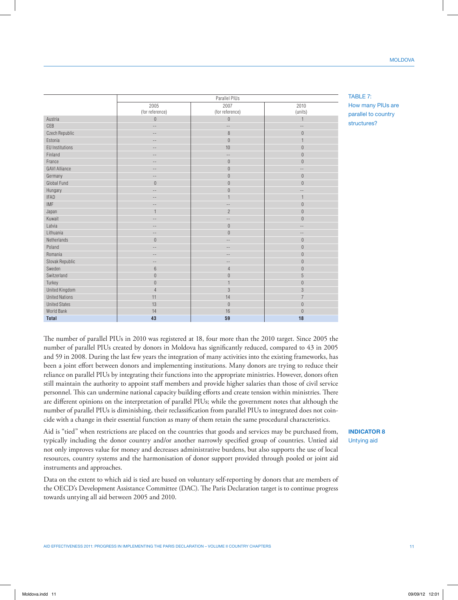**United Kingdom** 

TABLE 7: How many PIUs are parallel to country structures?

2010 (units)

number of parallel PIUs is diminishing, their reclassification from parallel PIUs to integrated does not coincide with a change in their essential function as many of them retain the same procedural characteristics. Aid is "tied" when restrictions are placed on the countries that goods and services may be purchased from, typically including the donor country and/or another narrowly specified group of countries. Untied aid not only improves value for money and decreases administrative burdens, but also supports the use of local resources, country systems and the harmonisation of donor support provided through pooled or joint aid instruments and approaches. Data on the extent to which aid is tied are based on voluntary self-reporting by donors that are members of the OECD's Development Assistance Committee (DAC). The Paris Declaration target is to continue progress towards untying all aid between 2005 and 2010. **INDICATOR 8**

Parallel PIUs

2007 (for reference)

2005 (for reference)

Austria 0 0 1 CEB -- -- -- Czech Republic and the contract of the contract of the contract of the contract of the contract of the contract of the contract of the contract of the contract of the contract of the contract of the contract of the contrac Estonia -- 0 1 EU Institutions | -- | 10 | C Finland -- -- 0 France -- 0 0 GAVI Alliance -- 0 -- Germany -- 0 0 Global Fund 0 0 0 Hungary -- 0 -- IFAD -- 1 1 IMF -- -- 0 Japan 1 2 0 Kuwait -- -- 0 Latvia -- 0 -- Lithuania -- 0 -- Netherlands | 0 | -- | C Poland -- -- 0 Romania -- -- 0 Slovak Republic Contract Contract Contract Contract Contract Contract Contract Contract Contract Contract Contract Contract Contract Contract Contract Contract Contract Contract Contract Contract Contract Contract Contract Sweden 6 4 0 Switzerland 0 0 5 Turkey | 0 | 1 | C

The number of parallel PIUs in 2010 was registered at 18, four more than the 2010 target. Since 2005 the number of parallel PIUs created by donors in Moldova has significantly reduced, compared to 43 in 2005 and 59 in 2008. During the last few years the integration of many activities into the existing frameworks, has been a joint effort between donors and implementing institutions. Many donors are trying to reduce their reliance on parallel PIUs by integrating their functions into the appropriate ministries. However, donors often still maintain the authority to appoint staff members and provide higher salaries than those of civil service personnel. This can undermine national capacity building efforts and create tension within ministries. There are different opinions on the interpretation of parallel PIUs; while the government notes that although the

United Nations | 11 | 14 | 7 United States | 13 | 0 | C World Bank 14 14 14 15 16 16 16 17 18 18 18 19 19 19 19 19 19 19 19 19 19 10 11 11 11 11 11 11 11 11 11 11 11 **Total 43 59 18**

Untying aid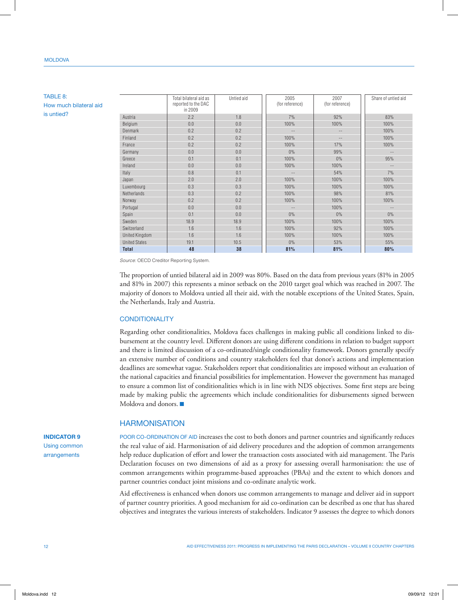## **MOLDOVA**

## TABLE 8: How much bilateral aid is untied?

|                       | TULUI DIIULUIUI UIU UJ<br>reported to the DAC<br>in 2009 | onnoù aiu | LUUU<br>(for reference) | <b>LUUI</b><br>(for reference) | Undro or untrou aru |
|-----------------------|----------------------------------------------------------|-----------|-------------------------|--------------------------------|---------------------|
| Austria               | 2.2                                                      | 1.8       | 7%                      | 92%                            | 83%                 |
| Belgium               | 0.0                                                      | 0.0       | 100%                    | 100%                           | 100%                |
| <b>Denmark</b>        | 0.2                                                      | 0.2       |                         | $\qquad \qquad -$              | 100%                |
| Finland               | 0.2                                                      | 0.2       | 100%                    |                                | 100%                |
| France                | 0.2                                                      | 0.2       | 100%                    | 17%                            | 100%                |
| Germany               | 0.0                                                      | 0.0       | $0\%$                   | 99%                            |                     |
| Greece                | 0.1                                                      | 0.1       | 100%                    | $0\%$                          | 95%                 |
| Ireland               | 0.0                                                      | 0.0       | 100%                    | 100%                           |                     |
| Italy                 | 0.8                                                      | 0.1       | $\qquad \qquad -$       | 54%                            | 7%                  |
| Japan                 | 2.0                                                      | 2.0       | 100%                    | 100%                           | 100%                |
| Luxembourg            | 0.3                                                      | 0.3       | 100%                    | 100%                           | 100%                |
| Netherlands           | 0.3                                                      | 0.2       | 100%                    | 98%                            | 81%                 |
| Norway                | 0.2                                                      | 0.2       | 100%                    | 100%                           | 100%                |
| Portugal              | 0.0                                                      | 0.0       | $-$                     | 100%                           | $\qquad \qquad -$   |
| Spain                 | 0.1                                                      | 0.0       | $0\%$                   | $0\%$                          | $0\%$               |
| Sweden                | 18.9                                                     | 18.9      | 100%                    | 100%                           | 100%                |
| Switzerland           | 1.6                                                      | 1.6       | 100%                    | 92%                            | 100%                |
| <b>United Kingdom</b> | 1.6                                                      | 1.6       | 100%                    | 100%                           | 100%                |
| <b>United States</b>  | 19.1                                                     | 10.5      | $0\%$                   | 53%                            | 55%                 |
| <b>Total</b>          | 48                                                       | 38        | 81%                     | 81%                            | 80%                 |

Untied aid 2005

 $2007$ 

Share of untied aid

חו

*Source:* OECD Creditor Reporting System.

Total bilateral aid as

The proportion of untied bilateral aid in 2009 was 80%. Based on the data from previous years (81% in 2005 and 81% in 2007) this represents a minor setback on the 2010 target goal which was reached in 2007. The majority of donors to Moldova untied all their aid, with the notable exceptions of the United States, Spain, the Netherlands, Italy and Austria.

#### **CONDITIONALITY**

Regarding other conditionalities, Moldova faces challenges in making public all conditions linked to disbursement at the country level. Different donors are using different conditions in relation to budget support and there is limited discussion of a co-ordinated/single conditionality framework. Donors generally specify an extensive number of conditions and country stakeholders feel that donor's actions and implementation deadlines are somewhat vague. Stakeholders report that conditionalities are imposed without an evaluation of the national capacities and financial possibilities for implementation. However the government has managed to ensure a common list of conditionalities which is in line with NDS objectives. Some first steps are being made by making public the agreements which include conditionalities for disbursements signed between Moldova and donors.  $\blacksquare$ 

## **HARMONISATION**

POOR CO-ORDINATION OF AID increases the cost to both donors and partner countries and significantly reduces the real value of aid. Harmonisation of aid delivery procedures and the adoption of common arrangements help reduce duplication of effort and lower the transaction costs associated with aid management. The Paris Declaration focuses on two dimensions of aid as a proxy for assessing overall harmonisation: the use of common arrangements within programme-based approaches (PBAs) and the extent to which donors and partner countries conduct joint missions and co-ordinate analytic work.

Aid effectiveness is enhanced when donors use common arrangements to manage and deliver aid in support of partner country priorities. A good mechanism for aid co-ordination can be described as one that has shared objectives and integrates the various interests of stakeholders. Indicator 9 assesses the degree to which donors

**INDICATOR 9** Using common arrangements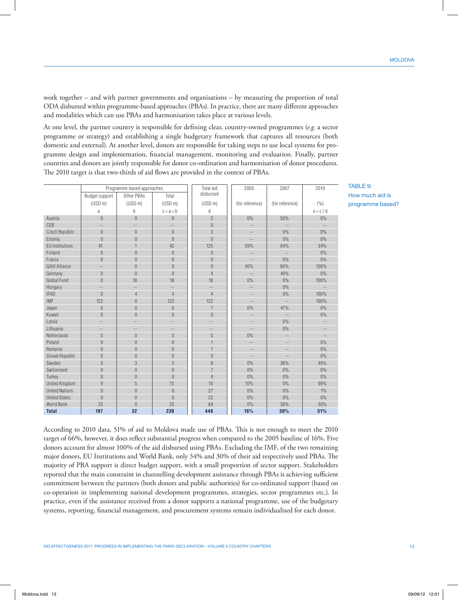work together – and with partner governments and organisations – by measuring the proportion of total ODA disbursed within programme-based approaches (PBAs). In practice, there are many different approaches and modalities which can use PBAs and harmonisation takes place at various levels.

At one level, the partner country is responsible for defining clear, country-owned programmes (*e.g.* a sector programme or strategy) and establishing a single budgetary framework that captures all resources (both domestic and external). At another level, donors are responsible for taking steps to use local systems for programme design and implementation, financial management, monitoring and evaluation. Finally, partner countries and donors are jointly responsible for donor co-ordination and harmonisation of donor procedures. The 2010 target is that two-thirds of aid flows are provided in the context of PBAs.

|                        |                     | Programme-based approaches |                     | Total aid           | 2005                     | 2007                     | 2010              |
|------------------------|---------------------|----------------------------|---------------------|---------------------|--------------------------|--------------------------|-------------------|
|                        | Budget support      | Other PBAs                 | Total               | disbursed           |                          |                          |                   |
|                        | (USD <sub>m</sub> ) | (USD <sub>m</sub> )        | (USD <sub>m</sub> ) | (USD <sub>m</sub> ) | (for reference)          | (for reference)          | (%)               |
|                        | a                   | b                          | $c = a + b$         | d                   |                          |                          | $e = c / d$       |
| Austria                | $\overline{0}$      | $\overline{0}$             | $\overline{0}$      | $\overline{2}$      | 0%                       | 50%                      | $0\%$             |
| CEB                    | $-$                 | $-$                        | $\overline{a}$      | $\overline{0}$      |                          | $\equiv$ $\equiv$        |                   |
| <b>Czech Republic</b>  | $\theta$            | $\theta$                   | $\overline{0}$      | 3                   | $-\,-$                   | 0%                       | 0%                |
| Estonia                | $\theta$            | $\theta$                   | $\overline{0}$      | $\overline{0}$      | $\sim$ $-$               | 0%                       | 0%                |
| <b>EU Institutions</b> | 41                  | 1                          | 42                  | 125                 | 59%                      | 64%                      | 34%               |
| Finland                | $\theta$            | $\overline{0}$             | $\overline{0}$      | $\theta$            | $-\,-$                   | $\overline{\phantom{a}}$ | 0%                |
| France                 | $\boldsymbol{0}$    | $\overline{0}$             | $\overline{0}$      | $\overline{0}$      | $\sim$ $-$               | 0%                       | 0%                |
| <b>GAVI Alliance</b>   | --                  | $\overline{0}$             | $\overline{0}$      | $\overline{0}$      | 40%                      | 60%                      | 100%              |
| Germany                | $\overline{0}$      | $\overline{0}$             | $\overline{0}$      | $\overline{4}$      | $\overline{\phantom{m}}$ | 49%                      | 0%                |
| Global Fund            | $\mathbf{0}$        | 18                         | 18                  | 18                  | 0%                       | 0%                       | 100%              |
| Hungary                | $-$                 | Ц.                         | $\qquad \qquad -$   | $\overline{a}$      | $\bar{ }$                | 0%                       | $-$               |
| <b>IFAD</b>            | $\overline{0}$      | $\overline{4}$             | $\overline{4}$      | $\overline{4}$      | $\qquad \qquad -$        | 0%                       | 100%              |
| <b>IMF</b>             | 122                 | $\Omega$                   | 122                 | 122                 | $-\,-$                   |                          | 100%              |
| Japan                  | $\boldsymbol{0}$    | $\theta$                   | $\overline{0}$      | 1                   | 0%                       | 47%                      | 0%                |
| Kuwait                 | $\mathbf{0}$        | $\theta$                   | $\overline{0}$      | $\overline{0}$      | $\overline{\phantom{a}}$ | $\mathbb{L}^{\perp}$     | 0%                |
| Latvia                 | $-$                 | $-$                        | $-$                 | $-$                 | $-\,-$                   | 0%                       | $\cdots$          |
| Lithuania              | --                  | $- \, -$                   | $- -$               | $--$                | $-\,-$                   | 0%                       | $\qquad \qquad -$ |
| Netherlands            | $\mathbf{0}$        | $\theta$                   | $\overline{0}$      | $\overline{0}$      | 0%                       | $\sim$ $\sim$            | $\sim$            |
| Poland                 | $\mathbf{0}$        | $\theta$                   | $\overline{0}$      | $\overline{1}$      | $\qquad \qquad -$        | $\qquad \qquad -$        | 0%                |
| Romania                | $\overline{0}$      | $\overline{0}$             | $\overline{0}$      | 1                   | $-\,-$                   | $\qquad \qquad -$        | 0%                |
| Slovak Republic        | $\boldsymbol{0}$    | $\theta$                   | $\overline{0}$      | $\overline{0}$      | $\qquad \qquad -$        |                          | 0%                |
| Sweden                 | $\theta$            | 3                          | 3                   | 8                   | 0%                       | 36%                      | 40%               |
| Switzerland            | $\overline{0}$      | $\overline{0}$             | $\overline{0}$      | $\overline{7}$      | 0%                       | 0%                       | 0%                |
| Turkey                 | $\Omega$            | $\overline{0}$             | $\Omega$            | $\overline{4}$      | 0%                       | 0%                       | 0%                |
| <b>United Kingdom</b>  | 9                   | 5                          | 15                  | 15                  | 10%                      | 0%                       | 99%               |
| <b>United Nations</b>  | $\theta$            | $\theta$                   | $\overline{0}$      | 27                  | 0%                       | 0%                       | 1%                |
| <b>United States</b>   | $\theta$            | $\theta$                   | $\overline{0}$      | 22                  | 0%                       | 0%                       | 0%                |
| World Bank             | 25                  | $\Omega$                   | 25                  | 84                  | 0%                       | 30%                      | 30%               |
| <b>Total</b>           | 197                 | 32                         | 230                 | 448                 | 16%                      | 30%                      | 51%               |

TABLE 9: How much aid is programme based?

According to 2010 data, 51% of aid to Moldova made use of PBAs. This is not enough to meet the 2010 target of 66%, however, it does reflect substantial progress when compared to the 2005 baseline of 16%. Five donors account for almost 100% of the aid disbursed using PBAs. Excluding the IMF, of the two remaining major donors, EU Institutions and World Bank, only 34% and 30% of their aid respectively used PBAs. The majority of PBA support is direct budget support, with a small proportion of sector support. Stakeholders reported that the main constraint in channelling development assistance through PBAs is achieving sufficient commitment between the partners (both donors and public authorities) for co-ordinated support (based on co-operation in implementing national development programmes, strategies, sector programmes etc.). In practice, even if the assistance received from a donor supports a national programme, use of the budgetary systems, reporting, financial management, and procurement systems remain individualised for each donor.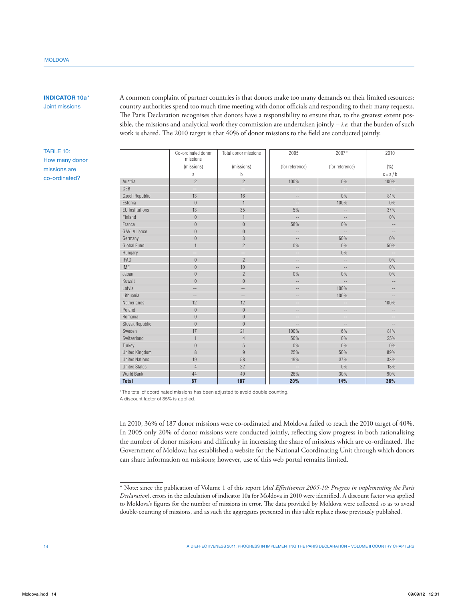# **INDICATOR 10a**\*

Joint missions

TABLE 10: How many donor missions are co‑ordinated?

A common complaint of partner countries is that donors make too many demands on their limited resources: country authorities spend too much time meeting with donor officials and responding to their many requests. The Paris Declaration recognises that donors have a responsibility to ensure that, to the greatest extent possible, the missions and analytical work they commission are undertaken jointly – *i.e.* that the burden of such work is shared. The 2010 target is that 40% of donor missions to the field are conducted jointly.

|                        | Co-ordinated donor<br>missions | Total donor missions | 2005                     | 2007*             | 2010              |
|------------------------|--------------------------------|----------------------|--------------------------|-------------------|-------------------|
|                        | (missions)                     | (missions)           | (for reference)          | (for reference)   | ( %)              |
|                        | a                              | b                    |                          |                   | $c = a/b$         |
| Austria                | $\overline{2}$                 | $\overline{2}$       | 100%                     | $0\%$             | 100%              |
| CEB                    | $\overline{a}$                 | $\overline{a}$       | $\overline{\phantom{a}}$ | $\overline{a}$    | $-$               |
| <b>Czech Republic</b>  | 13                             | 16                   | $-$                      | 0%                | 81%               |
| Estonia                | $\theta$                       | $\mathbf{1}$         | $-\,-$                   | 100%              | 0%                |
| <b>EU Institutions</b> | 13                             | 35                   | 5%                       | $\qquad \qquad -$ | 37%               |
| Finland                | $\theta$                       | $\mathbf{1}$         | $\overline{a}$           | $\frac{1}{2}$     | 0%                |
| France                 | $\theta$                       | $\boldsymbol{0}$     | 58%                      | $0\%$             | $-$               |
| <b>GAVI Alliance</b>   | $\theta$                       | $\bf 0$              | $\overline{a}$           | $\sim$            | $-$               |
| Germany                | $\theta$                       | 3                    | $\sim$                   | 60%               | $0\%$             |
| Global Fund            | $\overline{1}$                 | $\overline{2}$       | 0%                       | 0%                | 50%               |
| Hungary                | $-$                            | $- -$                | $\overline{a}$           | 0%                | $\qquad \qquad -$ |
| <b>IFAD</b>            | $\theta$                       | $\overline{2}$       | $\qquad \qquad -$        | $\overline{a}$    | 0%                |
| <b>IMF</b>             | $\bf 0$                        | 10                   | $\qquad \qquad -$        | $\qquad \qquad -$ | 0%                |
| Japan                  | $\theta$                       | $\overline{2}$       | 0%                       | 0%                | 0%                |
| Kuwait                 | $\theta$                       | $\overline{0}$       | $-$                      | $\qquad \qquad -$ | $\cdots$          |
| Latvia                 | $\qquad \qquad -$              | $-$                  | $\overline{\phantom{a}}$ | 100%              | $-$               |
| Lithuania              | $\overline{\phantom{a}}$ .     | $-$                  | $-$                      | 100%              | $-$               |
| Netherlands            | 12                             | 12                   | $-$                      | $-\,-$            | 100%              |
| Poland                 | $\theta$                       | $\theta$             | $-$                      | $\cdots$          | $-$               |
| Romania                | $\theta$                       | $\overline{0}$       | $\qquad \qquad -$        | $\qquad \qquad -$ | $-$               |
| Slovak Republic        | $\Omega$                       | $\overline{0}$       | $-$                      | $\qquad \qquad -$ | $-$               |
| Sweden                 | 17                             | 21                   | 100%                     | 6%                | 81%               |
| Switzerland            | $\mathbf{1}$                   | $\overline{4}$       | 50%                      | 0%                | 25%               |
| Turkey                 | $\theta$                       | 5                    | 0%                       | 0%                | 0%                |
| <b>United Kingdom</b>  | 8                              | $\overline{9}$       | 25%                      | 50%               | 89%               |
| <b>United Nations</b>  | 19                             | 58                   | 19%                      | 37%               | 33%               |
| <b>United States</b>   | $\overline{4}$                 | 22                   | $\overline{a}$           | 0%                | 18%               |
| <b>World Bank</b>      | 44                             | 49                   | 26%                      | 30%               | 90%               |
| <b>Total</b>           | 67                             | 187                  | 20%                      | 14%               | 36%               |

\*The total of coordinated missions has been adjusted to avoid double counting. A discount factor of 35% is applied.

In 2010, 36% of 187 donor missions were co-ordinated and Moldova failed to reach the 2010 target of 40%. In 2005 only 20% of donor missions were conducted jointly, reflecting slow progress in both rationalising the number of donor missions and difficulty in increasing the share of missions which are co-ordinated. The Government of Moldova has established a website for the National Coordinating Unit through which donors can share information on missions; however, use of this web portal remains limited.

<sup>\*</sup> Note: since the publication of Volume 1 of this report (*Aid Effectiveness 2005-10: Progress in implementing the Paris Declaration*), errors in the calculation of indicator 10a for Moldova in 2010 were identified. A discount factor was applied to Moldova's figures for the number of missions in error. The data provided by Moldova were collected so as to avoid double-counting of missions, and as such the aggregates presented in this table replace those previously published.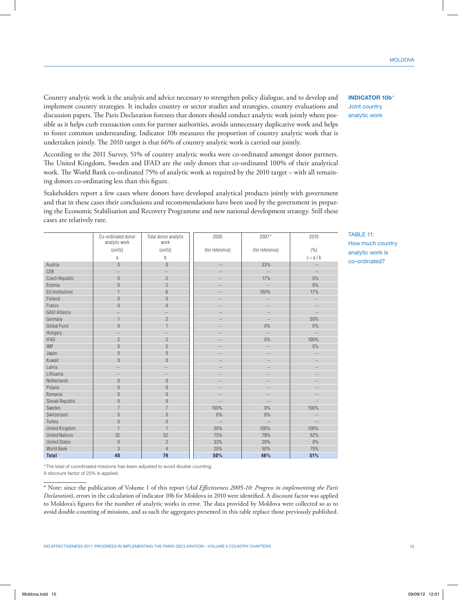Country analytic work is the analysis and advice necessary to strengthen policy dialogue, and to develop and implement country strategies. It includes country or sector studies and strategies, country evaluations and discussion papers. The Paris Declaration foresees that donors should conduct analytic work jointly where possible as it helps curb transaction costs for partner authorities, avoids unnecessary duplicative work and helps to foster common understanding. Indicator 10b measures the proportion of country analytic work that is undertaken jointly. The 2010 target is that 66% of country analytic work is carried out jointly.

According to the 2011 Survey, 51% of country analytic works were co-ordinated amongst donor partners. The United Kingdom, Sweden and IFAD are the only donors that co-ordinated 100% of their analytical work. The World Bank co-ordinated 75% of analytic work as required by the 2010 target – with all remaining donors co-ordinating less than this figure.

Stakeholders report a few cases where donors have developed analytical products jointly with government and that in these cases their conclusions and recommendations have been used by the government in preparing the Economic Stabilisation and Recovery Programme and new national development strategy. Still these cases are relatively rare.

2005 2007 \* 2010

Total donor analytic

|                        | analytic work     | work                     |                          |                          |                          |
|------------------------|-------------------|--------------------------|--------------------------|--------------------------|--------------------------|
|                        | (units)           | (units)                  | (for reference)          | (for reference)          | (%)                      |
|                        | a                 | b                        |                          |                          | $c = a/b$                |
| Austria                | $\theta$          | $\mathbf{0}$             | $-\,-$                   | 33%                      | $\sim$ $-$               |
| CEB                    | $\qquad \qquad -$ | $\qquad \qquad -$        | $-$                      | $\overline{\phantom{m}}$ | $ -$                     |
| Czech Republic         | $\overline{0}$    | $\overline{c}$           | $-$                      | 17%                      | $0\%$                    |
| Estonia                | $\boldsymbol{0}$  | $\overline{c}$           | $-$                      | $\overline{a}$           | $0\%$                    |
| <b>EU</b> Institutions | $\mathbf{1}$      | $6\,$                    | $-\,-$                   | 100%                     | 17%                      |
| Finland                | $\theta$          | $\boldsymbol{0}$         | $\qquad \qquad -$        | $\overline{\phantom{a}}$ | $-\,-$                   |
| France                 | $\overline{0}$    | $\boldsymbol{0}$         | $\qquad \qquad -$        | $-\,-$                   | $\overline{\phantom{a}}$ |
| <b>GAVI Alliance</b>   | --                | $\overline{\phantom{a}}$ | $-$                      | --                       | $-$                      |
| Germany                | $\mathbf{1}$      | $\overline{c}$           | $\qquad \qquad -$        | $-\, -$                  | 50%                      |
| Global Fund            | $\overline{0}$    | $\mathbf{1}$             | $-$                      | 0%                       | 0%                       |
| Hungary                | $-$               | $-$                      | $\qquad \qquad -$        | $-$                      | $\sim$ $\sim$            |
| <b>IFAD</b>            | $\overline{2}$    | $\overline{2}$           | $\qquad \qquad -$        | $0\%$                    | 100%                     |
| <b>IMF</b>             | $\boldsymbol{0}$  | 5                        | $\qquad \qquad -$        | $\overline{\phantom{a}}$ | 0%                       |
| Japan                  | $\overline{0}$    | $\boldsymbol{0}$         | $-$                      | $\qquad \qquad -$        | Ξ.                       |
| Kuwait                 | $\overline{0}$    | $\boldsymbol{0}$         | $\qquad \qquad -$        | $-\,-$                   | $ -$                     |
| Latvia                 | $\qquad \qquad -$ | $\qquad \qquad -$        | $\qquad \qquad -$        | $-\,-$                   | $\qquad \qquad -$        |
| Lithuania              | $ -$              | $-$                      | $-$                      | $-$                      | $-$                      |
| Netherlands            | $\boldsymbol{0}$  | $\boldsymbol{0}$         | $ -$                     | --                       | $-$                      |
| Poland                 | $\overline{0}$    | $\boldsymbol{0}$         | $ -$                     | --                       | --                       |
| Romania                | $\overline{0}$    | $\boldsymbol{0}$         | $-$                      | $-\,-$                   | $\overline{\phantom{m}}$ |
| Slovak Republic        | $\overline{0}$    | $\boldsymbol{0}$         | $-\,-$                   | $-\, -$                  | $\overline{\phantom{m}}$ |
| Sweden                 | $\overline{7}$    | $\overline{7}$           | 100%                     | 0%                       | 100%                     |
| Switzerland            | $\overline{0}$    | $\boldsymbol{0}$         | 0%                       | 0%                       | --                       |
| Turkey                 | $\overline{0}$    | $\mathbf{0}$             | $\overline{\phantom{a}}$ | $-$                      | $-\,-$                   |
| <b>United Kingdom</b>  | $\overline{1}$    | $\overline{1}$           | 50%                      | 100%                     | 100%                     |
| <b>United Nations</b>  | 32                | 52                       | 75%                      | 78%                      | 62%                      |
| <b>United States</b>   | $\theta$          | $\overline{2}$           | 33%                      | 29%                      | $0\%$                    |
| World Bank             | 3                 | $\overline{4}$           | 20%                      | 50%                      | 75%                      |
| <b>Total</b>           | 40                | 79                       | 50%                      | 46%                      | 51%                      |

\*The total of coordinated missions has been adjusted to avoid double counting.

Co-ordinated donor

A discount factor of 25% is applied.

\* Note: since the publication of Volume 1 of this report (*Aid Effectiveness 2005-10: Progress in implementing the Paris Declaration*), errors in the calculation of indicator 10b for Moldova in 2010 were identified. A discount factor was applied to Moldova's figures for the number of analytic works in error. The data provided by Moldova were collected so as to avoid double-counting of missions, and as such the aggregates presented in this table replace those previously published. TABLE 11:

How much country analytic work is co‑ordinated?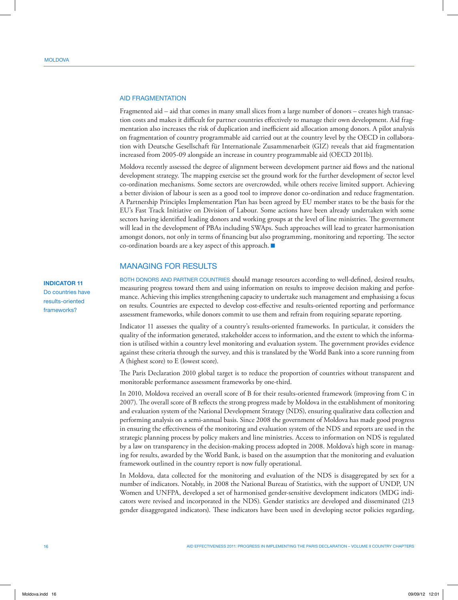#### Aid Fragmentation

Fragmented aid – aid that comes in many small slices from a large number of donors – creates high transaction costs and makes it difficult for partner countries effectively to manage their own development. Aid fragmentation also increases the risk of duplication and inefficient aid allocation among donors. A pilot analysis on fragmentation of country programmable aid carried out at the country level by the OECD in collaboration with Deutsche Gesellschaft für Internationale Zusammenarbeit (GIZ) reveals that aid fragmentation increased from 2005-09 alongside an increase in country programmable aid (OECD 2011b).

Moldova recently assessed the degree of alignment between development partner aid flows and the national development strategy. The mapping exercise set the ground work for the further development of sector level co-ordination mechanisms. Some sectors are overcrowded, while others receive limited support. Achieving a better division of labour is seen as a good tool to improve donor co-ordination and reduce fragmentation. A Partnership Principles Implementation Plan has been agreed by EU member states to be the basis for the EU's Fast Track Initiative on Division of Labour. Some actions have been already undertaken with some sectors having identified leading donors and working groups at the level of line ministries. The government will lead in the development of PBAs including SWAps. Such approaches will lead to greater harmonisation amongst donors, not only in terms of financing but also programming, monitoring and reporting. The sector co-ordination boards are a key aspect of this approach.  $\blacksquare$ 

## MANAGING FOR RESULTS

Both donors and partner countries should manage resources according to well-defined, desired results, measuring progress toward them and using information on results to improve decision making and performance. Achieving this implies strengthening capacity to undertake such management and emphasising a focus on results. Countries are expected to develop cost-effective and results-oriented reporting and performance assessment frameworks, while donors commit to use them and refrain from requiring separate reporting.

Indicator 11 assesses the quality of a country's results-oriented frameworks. In particular, it considers the quality of the information generated, stakeholder access to information, and the extent to which the information is utilised within a country level monitoring and evaluation system. The government provides evidence against these criteria through the survey, and this is translated by the World Bank into a score running from A (highest score) to E (lowest score).

The Paris Declaration 2010 global target is to reduce the proportion of countries without transparent and monitorable performance assessment frameworks by one-third.

In 2010, Moldova received an overall score of B for their results-oriented framework (improving from C in 2007). The overall score of B reflects the strong progress made by Moldova in the establishment of monitoring and evaluation system of the National Development Strategy (NDS), ensuring qualitative data collection and performing analysis on a semi-annual basis. Since 2008 the government of Moldova has made good progress in ensuring the effectiveness of the monitoring and evaluation system of the NDS and reports are used in the strategic planning process by policy makers and line ministries. Access to information on NDS is regulated by a law on transparency in the decision-making process adopted in 2008. Moldova's high score in managing for results, awarded by the World Bank, is based on the assumption that the monitoring and evaluation framework outlined in the country report is now fully operational.

In Moldova, data collected for the monitoring and evaluation of the NDS is disaggregated by sex for a number of indicators. Notably, in 2008 the National Bureau of Statistics, with the support of UNDP, UN Women and UNFPA, developed a set of harmonised gender-sensitive development indicators (MDG indicators were revised and incorporated in the NDS). Gender statistics are developed and disseminated (213 gender disaggregated indicators). These indicators have been used in developing sector policies regarding,

## **INDICATOR 11**

Do countries have results-oriented frameworks?